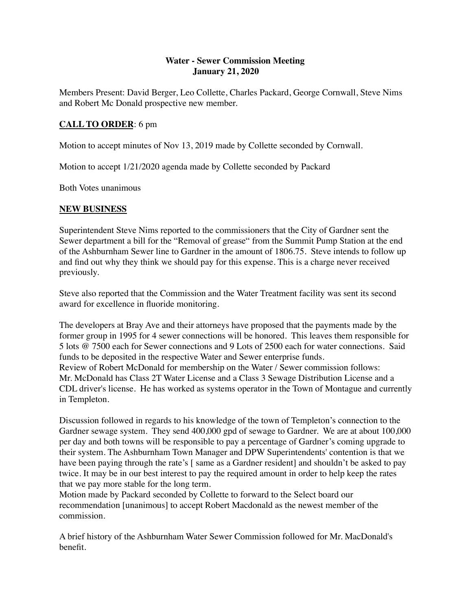## **Water - Sewer Commission Meeting January 21, 2020**

Members Present: David Berger, Leo Collette, Charles Packard, George Cornwall, Steve Nims and Robert Mc Donald prospective new member.

## **CALL TO ORDER**: 6 pm

Motion to accept minutes of Nov 13, 2019 made by Collette seconded by Cornwall.

Motion to accept 1/21/2020 agenda made by Collette seconded by Packard

Both Votes unanimous

## **NEW BUSINESS**

Superintendent Steve Nims reported to the commissioners that the City of Gardner sent the Sewer department a bill for the "Removal of grease" from the Summit Pump Station at the end of the Ashburnham Sewer line to Gardner in the amount of 1806.75. Steve intends to follow up and find out why they think we should pay for this expense. This is a charge never received previously.

Steve also reported that the Commission and the Water Treatment facility was sent its second award for excellence in fluoride monitoring.

The developers at Bray Ave and their attorneys have proposed that the payments made by the former group in 1995 for 4 sewer connections will be honored. This leaves them responsible for 5 lots @ 7500 each for Sewer connections and 9 Lots of 2500 each for water connections. Said funds to be deposited in the respective Water and Sewer enterprise funds. Review of Robert McDonald for membership on the Water / Sewer commission follows: Mr. McDonald has Class 2T Water License and a Class 3 Sewage Distribution License and a CDL driver's license. He has worked as systems operator in the Town of Montague and currently

in Templeton. Discussion followed in regards to his knowledge of the town of Templeton's connection to the Gardner sewage system. They send 400,000 gpd of sewage to Gardner. We are at about 100,000 per day and both towns will be responsible to pay a percentage of Gardner's coming upgrade to their system. The Ashburnham Town Manager and DPW Superintendents' contention is that we have been paying through the rate's [same as a Gardner resident] and shouldn't be asked to pay twice. It may be in our best interest to pay the required amount in order to help keep the rates

that we pay more stable for the long term. Motion made by Packard seconded by Collette to forward to the Select board our recommendation [unanimous] to accept Robert Macdonald as the newest member of the commission.

A brief history of the Ashburnham Water Sewer Commission followed for Mr. MacDonald's benefit.